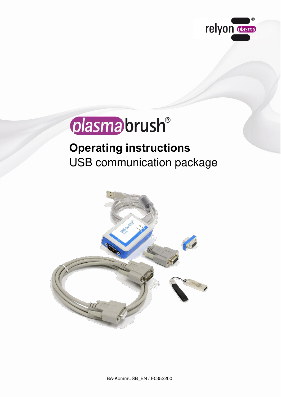

# plasma brush®

## **Operating instructions** USB communication package

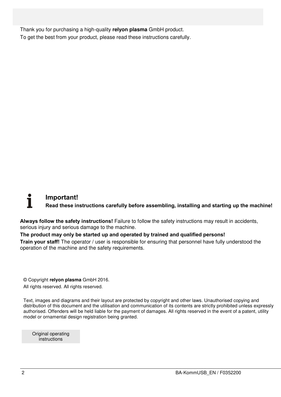Thank you for purchasing a high-quality **relyon plasma** GmbH product. To get the best from your product, please read these instructions carefully.

#### **Important! Read these instructions carefully before assembling, installing and starting up the machine!**

**Always follow the safety instructions!** Failure to follow the safety instructions may result in accidents, serious injury and serious damage to the machine.

#### **The product may only be started up and operated by trained and qualified persons!**

**Train your staff!** The operator / user is responsible for ensuring that personnel have fully understood the operation of the machine and the safety requirements.

© Copyright **relyon plasma** GmbH 2016.

All rights reserved. All rights reserved.

Text, images and diagrams and their layout are protected by copyright and other laws. Unauthorised copying and distribution of this document and the utilisation and communication of its contents are strictly prohibited unless expressly authorised. Offenders will be held liable for the payment of damages. All rights reserved in the event of a patent, utility model or ornamental design registration being granted.

Original operating instructions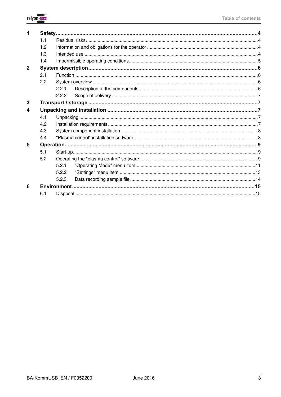

|                  | 11  |       |  |  |  |  |  |
|------------------|-----|-------|--|--|--|--|--|
|                  | 12  |       |  |  |  |  |  |
|                  | 1.3 |       |  |  |  |  |  |
|                  | 1.4 |       |  |  |  |  |  |
| $\overline{2}$   |     |       |  |  |  |  |  |
|                  | 2.1 |       |  |  |  |  |  |
|                  | 2.2 |       |  |  |  |  |  |
|                  |     | 2.2.1 |  |  |  |  |  |
|                  |     | 2.2.2 |  |  |  |  |  |
| 3                |     |       |  |  |  |  |  |
| 1<br>4<br>5<br>6 |     |       |  |  |  |  |  |
|                  | 4.1 |       |  |  |  |  |  |
|                  | 4.2 |       |  |  |  |  |  |
|                  | 4.3 |       |  |  |  |  |  |
|                  | 4.4 |       |  |  |  |  |  |
|                  |     |       |  |  |  |  |  |
|                  | 5.1 |       |  |  |  |  |  |
|                  | 5.2 |       |  |  |  |  |  |
|                  |     | 5.2.1 |  |  |  |  |  |
|                  |     | 5.2.2 |  |  |  |  |  |
|                  |     | 5.2.3 |  |  |  |  |  |
|                  |     |       |  |  |  |  |  |
|                  | 6.1 |       |  |  |  |  |  |
|                  |     |       |  |  |  |  |  |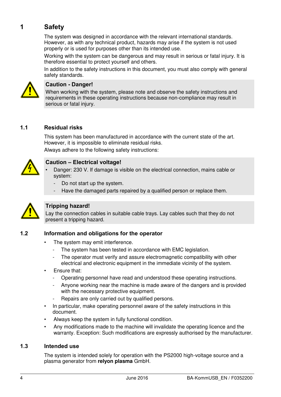#### <span id="page-3-0"></span>**1 Safety**

The system was designed in accordance with the relevant international standards. However, as with any technical product, hazards may arise if the system is not used properly or is used for purposes other than its intended use.

Working with the system can be dangerous and may result in serious or fatal injury. It is therefore essential to protect yourself and others.

In addition to the safety instructions in this document, you must also comply with general safety standards.



#### **Caution - Danger!**

When working with the system, please note and observe the safety instructions and requirements in these operating instructions because non-compliance may result in serious or fatal injury.

#### <span id="page-3-1"></span>**1.1 Residual risks**

This system has been manufactured in accordance with the current state of the art. However, it is impossible to eliminate residual risks.

Always adhere to the following safety instructions:



#### **Caution – Electrical voltage!**

- Danger: 230 V. If damage is visible on the electrical connection, mains cable or system:
	- Do not start up the system.
	- Have the damaged parts repaired by a qualified person or replace them.



#### **Tripping hazard!**

Lay the connection cables in suitable cable trays. Lay cables such that they do not present a tripping hazard.

#### <span id="page-3-2"></span>**1.2 Information and obligations for the operator**

- The system may emit interference.
	- The system has been tested in accordance with EMC legislation.
	- The operator must verify and assure electromagnetic compatibility with other electrical and electronic equipment in the immediate vicinity of the system.
- Ensure that:
	- Operating personnel have read and understood these operating instructions.
	- Anyone working near the machine is made aware of the dangers and is provided with the necessary protective equipment.
	- Repairs are only carried out by qualified persons.
- In particular, make operating personnel aware of the safety instructions in this document.
- Always keep the system in fully functional condition.
- Any modifications made to the machine will invalidate the operating licence and the warranty. Exception: Such modifications are expressly authorised by the manufacturer.

#### <span id="page-3-3"></span>**1.3 Intended use**

The system is intended solely for operation with the PS2000 high-voltage source and a plasma generator from **relyon plasma** GmbH.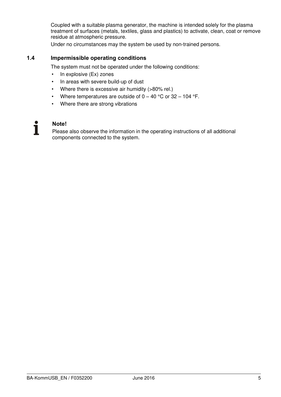Coupled with a suitable plasma generator, the machine is intended solely for the plasma treatment of surfaces (metals, textiles, glass and plastics) to activate, clean, coat or remove residue at atmospheric pressure.

Under no circumstances may the system be used by non-trained persons.

#### <span id="page-4-0"></span>**1.4 Impermissible operating conditions**

The system must not be operated under the following conditions:

- In explosive (Ex) zones
- In areas with severe build-up of dust
- Where there is excessive air humidity (>80% rel.)
- Where temperatures are outside of  $0 40$  °C or 32 104 °F.
- Where there are strong vibrations

### T

**Note!** 

Please also observe the information in the operating instructions of all additional components connected to the system.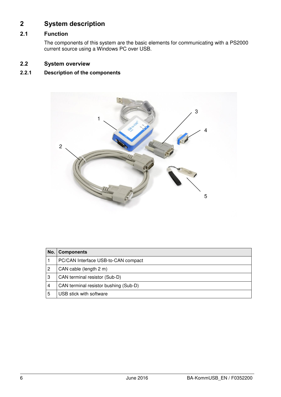#### <span id="page-5-0"></span>**2 System description**

#### <span id="page-5-1"></span>**2.1 Function**

The components of this system are the basic elements for communicating with a PS2000 current source using a Windows PC over USB.

#### <span id="page-5-2"></span>**2.2 System overview**

#### <span id="page-5-3"></span>**2.2.1 Description of the components**



| No. | <b>Components</b>                     |  |  |  |  |
|-----|---------------------------------------|--|--|--|--|
|     | PC/CAN Interface USB-to-CAN compact   |  |  |  |  |
| 2   | CAN cable (length 2 m)                |  |  |  |  |
| 3   | CAN terminal resistor (Sub-D)         |  |  |  |  |
| 4   | CAN terminal resistor bushing (Sub-D) |  |  |  |  |
| 5   | USB stick with software               |  |  |  |  |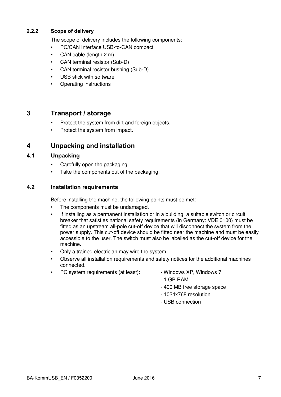#### <span id="page-6-0"></span>**2.2.2 Scope of delivery**

The scope of delivery includes the following components:

- PC/CAN Interface USB-to-CAN compact
- CAN cable (length 2 m)
- CAN terminal resistor (Sub-D)
- CAN terminal resistor bushing (Sub-D)
- USB stick with software
- Operating instructions

#### <span id="page-6-1"></span>**3 Transport / storage**

- Protect the system from dirt and foreign objects.
- Protect the system from impact.

#### <span id="page-6-2"></span>**4 Unpacking and installation**

#### <span id="page-6-3"></span>**4.1 Unpacking**

- Carefully open the packaging.
- Take the components out of the packaging.

#### <span id="page-6-4"></span>**4.2 Installation requirements**

Before installing the machine, the following points must be met:

- The components must be undamaged.
- If installing as a permanent installation or in a building, a suitable switch or circuit breaker that satisfies national safety requirements (in Germany: VDE 0100) must be fitted as an upstream all-pole cut-off device that will disconnect the system from the power supply. This cut-off device should be fitted near the machine and must be easily accessible to the user. The switch must also be labelled as the cut-off device for the machine.
- Only a trained electrician may wire the system.
- Observe all installation requirements and safety notices for the additional machines connected.
- PC system requirements (at least): Windows XP, Windows 7
	-
	- 1 GB RAM
	- 400 MB free storage space
	- 1024x768 resolution
	- USB connection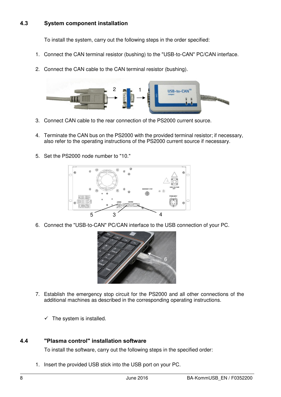#### <span id="page-7-0"></span>**4.3 System component installation**

To install the system, carry out the following steps in the order specified:

- 1. Connect the CAN terminal resistor (bushing) to the "USB-to-CAN" PC/CAN interface.
- 2. Connect the CAN cable to the CAN terminal resistor (bushing).



- 3. Connect CAN cable to the rear connection of the PS2000 current source.
- 4. Terminate the CAN bus on the PS2000 with the provided terminal resistor; if necessary, also refer to the operating instructions of the PS2000 current source if necessary.
- 5. Set the PS2000 node number to "10."



6. Connect the "USB-to-CAN" PC/CAN interface to the USB connection of your PC.



- 7. Establish the emergency stop circuit for the PS2000 and all other connections of the additional machines as described in the corresponding operating instructions.
	- $\checkmark$  The system is installed.

#### <span id="page-7-1"></span>**4.4 "Plasma control" installation software**

To install the software, carry out the following steps in the specified order:

1. Insert the provided USB stick into the USB port on your PC.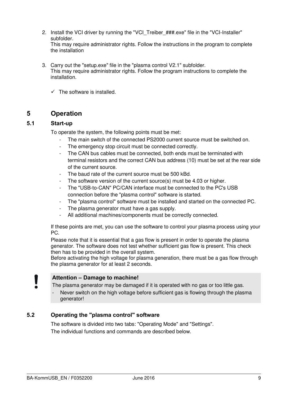2. Install the VCI driver by running the "VCI\_Treiber\_###.exe" file in the "VCI-Installer" subfolder.

This may require administrator rights. Follow the instructions in the program to complete the installation

3. Carry out the "setup.exe" file in the "plasma control V2.1" subfolder. This may require administrator rights. Follow the program instructions to complete the installation.

 $\checkmark$  The software is installed.

#### <span id="page-8-0"></span>**5 Operation**

#### <span id="page-8-1"></span>**5.1 Start-up**

To operate the system, the following points must be met:

- The main switch of the connected PS2000 current source must be switched on.
- The emergency stop circuit must be connected correctly.
- The CAN bus cables must be connected, both ends must be terminated with terminal resistors and the correct CAN bus address (10) must be set at the rear side of the current source.
- The baud rate of the current source must be 500 kBd.
- The software version of the current source(s) must be 4.03 or higher.
- The "USB-to-CAN" PC/CAN interface must be connected to the PC's USB connection before the "plasma control" software is started.
- The "plasma control" software must be installed and started on the connected PC.
- The plasma generator must have a gas supply.
- All additional machines/components must be correctly connected.

If these points are met, you can use the software to control your plasma process using your PC.

Please note that it is essential that a gas flow is present in order to operate the plasma generator. The software does not test whether sufficient gas flow is present. This check then has to be provided in the overall system.

Before activating the high voltage for plasma generation, there must be a gas flow through the plasma generator for at least 2 seconds.

#### **Attention – Damage to machine!**

The plasma generator may be damaged if it is operated with no gas or too little gas.

Never switch on the high voltage before sufficient gas is flowing through the plasma generator!

#### <span id="page-8-2"></span>**5.2 Operating the "plasma control" software**

The software is divided into two tabs: "Operating Mode" and "Settings". The individual functions and commands are described below.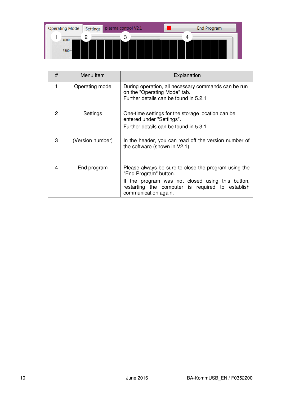

| #             | Menu item        | Explanation                                                                                                                                                                                                   |  |  |  |
|---------------|------------------|---------------------------------------------------------------------------------------------------------------------------------------------------------------------------------------------------------------|--|--|--|
| 1             | Operating mode   | During operation, all necessary commands can be run<br>on the "Operating Mode" tab.<br>Further details can be found in 5.2.1                                                                                  |  |  |  |
| $\mathcal{P}$ | Settings         | One-time settings for the storage location can be<br>entered under "Settings".<br>Further details can be found in 5.3.1                                                                                       |  |  |  |
| 3             | (Version number) | In the header, you can read off the version number of<br>the software (shown in V2.1)                                                                                                                         |  |  |  |
| 4             | End program      | Please always be sure to close the program using the<br>"End Program" button.<br>If the program was not closed using this button,<br>restarting the computer is required to establish<br>communication again. |  |  |  |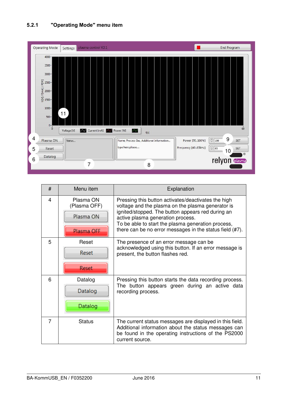<span id="page-10-0"></span>

| #              | Menu item                 | Explanation                                                                                                                                                                                 |  |  |  |  |
|----------------|---------------------------|---------------------------------------------------------------------------------------------------------------------------------------------------------------------------------------------|--|--|--|--|
| $\overline{4}$ | Plasma ON<br>(Plasma OFF) | Pressing this button activates/deactivates the high<br>voltage and the plasma on the plasma generator is                                                                                    |  |  |  |  |
|                | Plasma ON                 | ignited/stopped. The button appears red during an<br>active plasma generation process.<br>To be able to start the plasma generation process,                                                |  |  |  |  |
|                | Plasma OFF                | there can be no error messages in the status field (#7).                                                                                                                                    |  |  |  |  |
| 5              | Reset                     | The presence of an error message can be<br>acknowledged using this button. If an error message is                                                                                           |  |  |  |  |
|                | Reset                     | present, the button flashes red.                                                                                                                                                            |  |  |  |  |
|                | Reset                     |                                                                                                                                                                                             |  |  |  |  |
| 6              | Datalog                   | Pressing this button starts the data recording process.<br>The button appears green during an active data<br>recording process.                                                             |  |  |  |  |
|                | Datalog                   |                                                                                                                                                                                             |  |  |  |  |
|                | Datalog                   |                                                                                                                                                                                             |  |  |  |  |
| 7              | <b>Status</b>             | The current status messages are displayed in this field.<br>Additional information about the status messages can<br>be found in the operating instructions of the PS2000<br>current source. |  |  |  |  |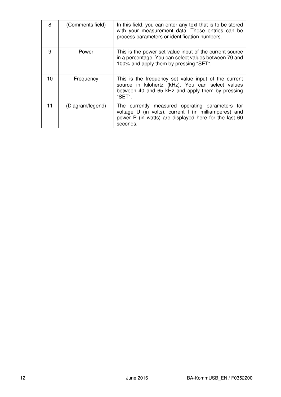| 8  | (Comments field) | In this field, you can enter any text that is to be stored<br>with your measurement data. These entries can be<br>process parameters or identification numbers.               |
|----|------------------|-------------------------------------------------------------------------------------------------------------------------------------------------------------------------------|
| 9  | Power            | This is the power set value input of the current source<br>in a percentage. You can select values between 70 and<br>100% and apply them by pressing "SET".                    |
| 10 | Frequency        | This is the frequency set value input of the current<br>source in kilohertz (kHz). You can select values<br>between 40 and 65 kHz and apply them by pressing<br>"SET".        |
| 11 | (Diagram/legend) | The currently measured operating parameters for<br>voltage U (in volts), current I (in milliamperes) and<br>power P (in watts) are displayed here for the last 60<br>seconds. |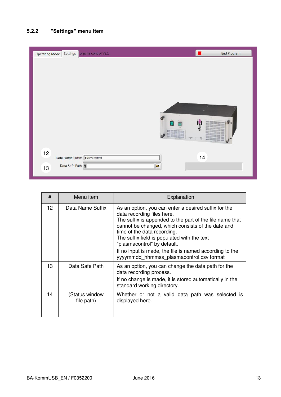#### <span id="page-12-0"></span>**5.2.2 "Settings" menu item**

| <b>Operating Mode</b> | Settings                           | plasma control V2.1        | <b>End Program</b>                          |
|-----------------------|------------------------------------|----------------------------|---------------------------------------------|
|                       |                                    | 39<br>m<br>HU.<br>77       | $\sim$<br>io<br>۰<br>relyon<br>ä.<br>÷<br>ಠ |
| 12<br>13              | Data Name Suffix<br>Data Safe Path | plasmacontrol<br>$\bullet$ | 14                                          |

| #  | Menu item                    | Explanation                                                                                                                                                                                                                                                                                                                                                                                                             |  |  |  |  |  |
|----|------------------------------|-------------------------------------------------------------------------------------------------------------------------------------------------------------------------------------------------------------------------------------------------------------------------------------------------------------------------------------------------------------------------------------------------------------------------|--|--|--|--|--|
| 12 | Data Name Suffix             | As an option, you can enter a desired suffix for the<br>data recording files here.<br>The suffix is appended to the part of the file name that<br>cannot be changed, which consists of the date and<br>time of the data recording.<br>The suffix field is populated with the text<br>"plasmacontrol" by default.<br>If no input is made, the file is named according to the<br>yyyymmdd hhmmss plasmacontrol.csv format |  |  |  |  |  |
| 13 | Data Safe Path               | As an option, you can change the data path for the<br>data recording process.<br>If no change is made, it is stored automatically in the<br>standard working directory.                                                                                                                                                                                                                                                 |  |  |  |  |  |
| 14 | (Status window<br>file path) | Whether or not a valid data path was selected is<br>displayed here.                                                                                                                                                                                                                                                                                                                                                     |  |  |  |  |  |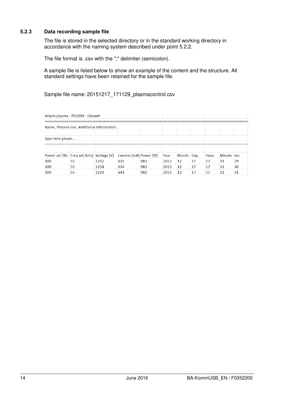#### <span id="page-13-0"></span>**5.2.3 Data recording sample file**

The file is stored in the selected directory or in the standard working directory in accordance with the naming system described under point [5.2.2.](#page-12-0)

The file format is .csv with the ";" delimiter (semicolon).

A sample file is listed below to show an example of the content and the structure. All standard settings have been retained for the sample file.

Sample file name: 20151217\_171129\_plasmacontrol.csv

| relyon plasma - PS2000 - Dataset          |    |      |                        |     |      |           |    |      |            |    |
|-------------------------------------------|----|------|------------------------|-----|------|-----------|----|------|------------|----|
| Name, Process Gas, Additional Information |    |      |                        |     |      |           |    |      |            |    |
| type here please                          |    |      |                        |     |      |           |    |      |            |    |
| Power set [%] Freq set [kHz] Voltage [V]  |    |      | Current [mA] Power [W] |     | Year | Month Day |    | Hour | Minute Sec |    |
| 100                                       | 55 | 1242 | 635                    | 983 | 2015 | 12        | 17 | 17   | -11        | 29 |
| 100                                       | 55 | 1258 | 634                    | 983 | 2015 | 12        | 17 | 17   | 11         | 30 |
| 100                                       | 55 | 1224 | 641                    | 983 | 2015 | 12        | 17 | 17   | 11         | 31 |